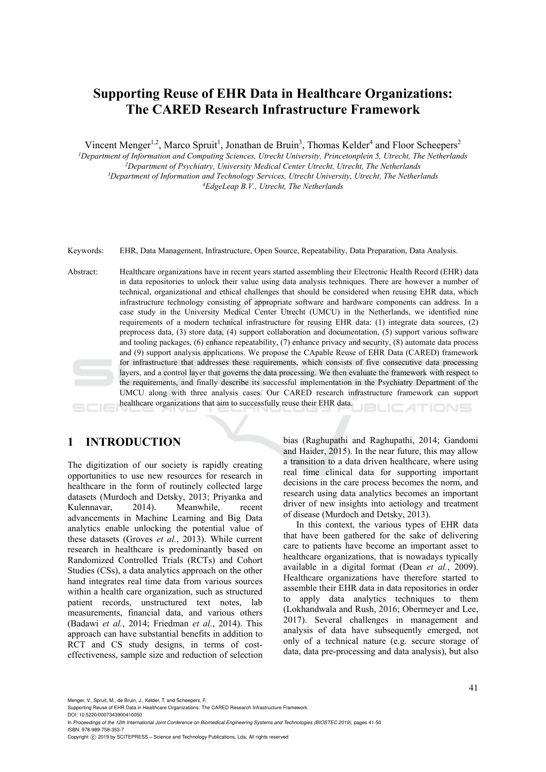# **Supporting Reuse of EHR Data in Healthcare Organizations: The CARED Research Infrastructure Framework**

Vincent Menger<sup>1,2</sup>, Marco Spruit<sup>1</sup>, Jonathan de Bruin<sup>3</sup>, Thomas Kelder<sup>4</sup> and Floor Scheepers<sup>2</sup>

<sup>1</sup>Department of Information and Computing Sciences, Utrecht University, Princetonplein 5, Utrecht, The Netherlands <sup>2</sup>Department of Psychiatry, University Medical Center Utrecht, Utrecht, The Netherlands<br><sup>3</sup>Department of Information and Technology Services, Utrecht University, Utrecht, The Netherlands<br><sup>4</sup>EdgeLeap B.V., Utrecht, The Ne

Keywords: EHR, Data Management, Infrastructure, Open Source, Repeatability, Data Preparation, Data Analysis.

Abstract: Healthcare organizations have in recent years started assembling their Electronic Health Record (EHR) data in data repositories to unlock their value using data analysis techniques. There are however a number of technical, organizational and ethical challenges that should be considered when reusing EHR data, which infrastructure technology consisting of appropriate software and hardware components can address. In a case study in the University Medical Center Utrecht (UMCU) in the Netherlands, we identified nine requirements of a modern technical infrastructure for reusing EHR data: (1) integrate data sources, (2) preprocess data, (3) store data, (4) support collaboration and documentation, (5) support various software and tooling packages, (6) enhance repeatability, (7) enhance privacy and security, (8) automate data process and (9) support analysis applications. We propose the CApable Reuse of EHR Data (CARED) framework for infrastructure that addresses these requirements, which consists of five consecutive data processing layers, and a control layer that governs the data processing. We then evaluate the framework with respect to the requirements, and finally describe its successful implementation in the Psychiatry Department of the UMCU along with three analysis cases. Our CARED research infrastructure framework can support healthcare organizations that aim to successfully reuse their EHR data. BLICATIONS

# **1 INTRODUCTION**

The digitization of our society is rapidly creating opportunities to use new resources for research in healthcare in the form of routinely collected large datasets (Murdoch and Detsky, 2013; Priyanka and Kulennavar, 2014). Meanwhile, recent advancements in Machine Learning and Big Data analytics enable unlocking the potential value of these datasets (Groves *et al.*, 2013). While current research in healthcare is predominantly based on Randomized Controlled Trials (RCTs) and Cohort Studies (CSs), a data analytics approach on the other hand integrates real time data from various sources within a health care organization, such as structured patient records, unstructured text notes, lab measurements, financial data, and various others (Badawi *et al.*, 2014; Friedman *et al.*, 2014). This approach can have substantial benefits in addition to RCT and CS study designs, in terms of costeffectiveness, sample size and reduction of selection

bias (Raghupathi and Raghupathi, 2014; Gandomi and Haider, 2015). In the near future, this may allow a transition to a data driven healthcare, where using real time clinical data for supporting important decisions in the care process becomes the norm, and research using data analytics becomes an important driver of new insights into aetiology and treatment of disease (Murdoch and Detsky, 2013).

In this context, the various types of EHR data that have been gathered for the sake of delivering care to patients have become an important asset to healthcare organizations, that is nowadays typically available in a digital format (Dean *et al.*, 2009). Healthcare organizations have therefore started to assemble their EHR data in data repositories in order to apply data analytics techniques to them (Lokhandwala and Rush, 2016; Obermeyer and Lee, 2017). Several challenges in management and analysis of data have subsequently emerged, not only of a technical nature (e.g. secure storage of data, data pre-processing and data analysis), but also

Menger, V., Spruit, M., de Bruin, J., Kelder, T. and Scheepers, F.

Copyright © 2019 by SCITEPRESS - Science and Technology Publications, Lda. All rights reserved

Supporting Reuse of EHR Data in Healthcare Organizations: The CARED Research Infrastructure Framework. DOI: 10.5220/0007343900410050

In *Proceedings of the 12th International Joint Conference on Biomedical Engineering Systems and Technologies (BIOSTEC 2019)*, pages 41-50 ISBN: 978-989-758-353-7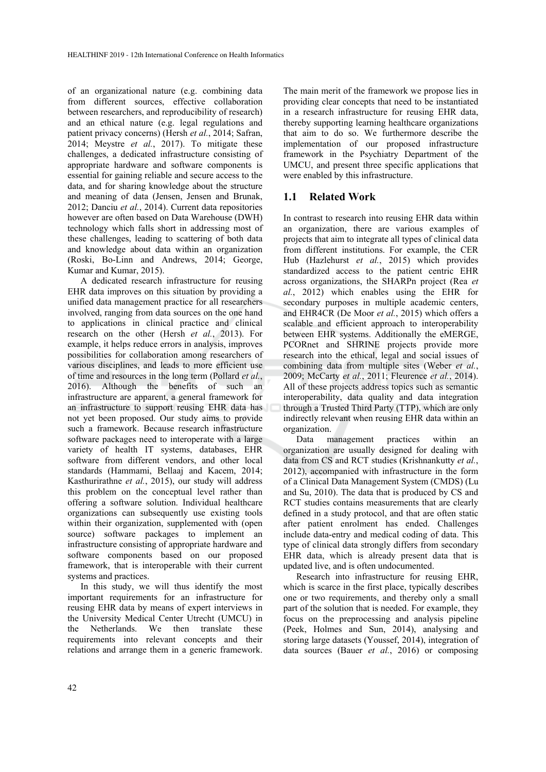of an organizational nature (e.g. combining data from different sources, effective collaboration between researchers, and reproducibility of research) and an ethical nature (e.g. legal regulations and patient privacy concerns) (Hersh *et al.*, 2014; Safran, 2014; Meystre *et al.*, 2017). To mitigate these challenges, a dedicated infrastructure consisting of appropriate hardware and software components is essential for gaining reliable and secure access to the data, and for sharing knowledge about the structure and meaning of data (Jensen, Jensen and Brunak, 2012; Danciu *et al.*, 2014). Current data repositories however are often based on Data Warehouse (DWH) technology which falls short in addressing most of these challenges, leading to scattering of both data and knowledge about data within an organization (Roski, Bo-Linn and Andrews, 2014; George, Kumar and Kumar, 2015).

A dedicated research infrastructure for reusing EHR data improves on this situation by providing a unified data management practice for all researchers involved, ranging from data sources on the one hand to applications in clinical practice and clinical research on the other (Hersh *et al.*, 2013). For example, it helps reduce errors in analysis, improves possibilities for collaboration among researchers of various disciplines, and leads to more efficient use of time and resources in the long term (Pollard *et al.*, 2016). Although the benefits of such an infrastructure are apparent, a general framework for an infrastructure to support reusing EHR data has not yet been proposed. Our study aims to provide such a framework. Because research infrastructure software packages need to interoperate with a large variety of health IT systems, databases, EHR software from different vendors, and other local standards (Hammami, Bellaaj and Kacem, 2014; Kasthurirathne *et al.*, 2015), our study will address this problem on the conceptual level rather than offering a software solution. Individual healthcare organizations can subsequently use existing tools within their organization, supplemented with (open source) software packages to implement an infrastructure consisting of appropriate hardware and software components based on our proposed framework, that is interoperable with their current systems and practices.

In this study, we will thus identify the most important requirements for an infrastructure for reusing EHR data by means of expert interviews in the University Medical Center Utrecht (UMCU) in the Netherlands. We then translate these requirements into relevant concepts and their relations and arrange them in a generic framework. The main merit of the framework we propose lies in providing clear concepts that need to be instantiated in a research infrastructure for reusing EHR data, thereby supporting learning healthcare organizations that aim to do so. We furthermore describe the implementation of our proposed infrastructure framework in the Psychiatry Department of the UMCU, and present three specific applications that were enabled by this infrastructure.

#### **1.1 Related Work**

In contrast to research into reusing EHR data within an organization, there are various examples of projects that aim to integrate all types of clinical data from different institutions. For example, the CER Hub (Hazlehurst *et al.*, 2015) which provides standardized access to the patient centric EHR across organizations, the SHARPn project (Rea *et al.*, 2012) which enables using the EHR for secondary purposes in multiple academic centers, and EHR4CR (De Moor *et al.*, 2015) which offers a scalable and efficient approach to interoperability between EHR systems. Additionally the eMERGE, PCORnet and SHRINE projects provide more research into the ethical, legal and social issues of combining data from multiple sites (Weber *et al.*, 2009; McCarty *et al.*, 2011; Fleurence *et al.*, 2014). All of these projects address topics such as semantic interoperability, data quality and data integration through a Trusted Third Party (TTP), which are only indirectly relevant when reusing EHR data within an organization.

Data management practices within an organization are usually designed for dealing with data from CS and RCT studies (Krishnankutty *et al.*, 2012), accompanied with infrastructure in the form of a Clinical Data Management System (CMDS) (Lu and Su, 2010). The data that is produced by CS and RCT studies contains measurements that are clearly defined in a study protocol, and that are often static after patient enrolment has ended. Challenges include data-entry and medical coding of data. This type of clinical data strongly differs from secondary EHR data, which is already present data that is updated live, and is often undocumented.

Research into infrastructure for reusing EHR, which is scarce in the first place, typically describes one or two requirements, and thereby only a small part of the solution that is needed. For example, they focus on the preprocessing and analysis pipeline (Peek, Holmes and Sun, 2014), analysing and storing large datasets (Youssef, 2014), integration of data sources (Bauer *et al.*, 2016) or composing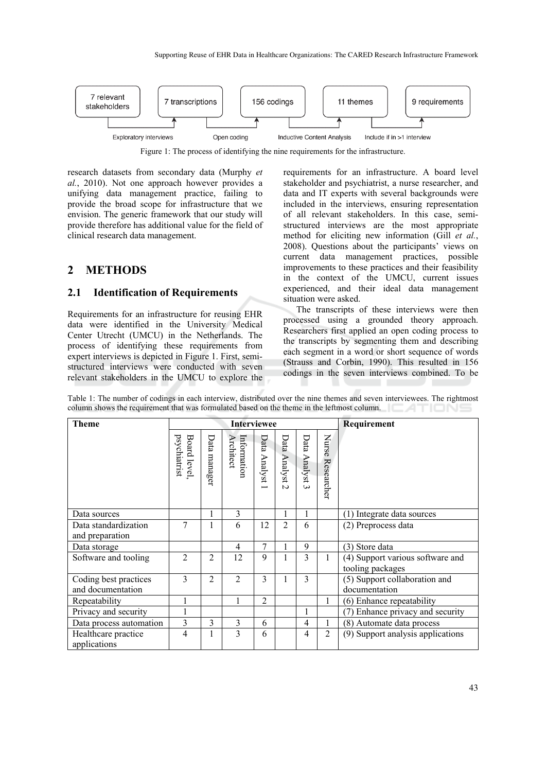

Figure 1: The process of identifying the nine requirements for the infrastructure.

research datasets from secondary data (Murphy *et al.*, 2010). Not one approach however provides a unifying data management practice, failing to provide the broad scope for infrastructure that we envision. The generic framework that our study will provide therefore has additional value for the field of clinical research data management.

# **2 METHODS**

#### **2.1 Identification of Requirements**

Requirements for an infrastructure for reusing EHR data were identified in the University Medical Center Utrecht (UMCU) in the Netherlands. The process of identifying these requirements from expert interviews is depicted in Figure 1. First, semistructured interviews were conducted with seven relevant stakeholders in the UMCU to explore the requirements for an infrastructure. A board level stakeholder and psychiatrist, a nurse researcher, and data and IT experts with several backgrounds were included in the interviews, ensuring representation of all relevant stakeholders. In this case, semistructured interviews are the most appropriate method for eliciting new information (Gill *et al.*, 2008). Questions about the participants' views on current data management practices, possible improvements to these practices and their feasibility in the context of the UMCU, current issues experienced, and their ideal data management situation were asked.

The transcripts of these interviews were then processed using a grounded theory approach. Researchers first applied an open coding process to the transcripts by segmenting them and describing each segment in a word or short sequence of words (Strauss and Corbin, 1990). This resulted in 156 codings in the seven interviews combined. To be

| <b>Theme</b>                               | <b>Interviewee</b>                 |                |                          |              |                                |                |                     | Requirement                                          |
|--------------------------------------------|------------------------------------|----------------|--------------------------|--------------|--------------------------------|----------------|---------------------|------------------------------------------------------|
|                                            | psychiatrist<br><b>Board level</b> | Data manager   | Information<br>Architect | Data Analyst | Data Analyst<br>$\overline{a}$ | Data Analyst 3 | Nurse<br>Researcher |                                                      |
| Data sources                               |                                    |                | 3                        |              | 1                              |                |                     | (1) Integrate data sources                           |
| Data standardization<br>and preparation    | 7                                  | ı              | 6                        | 12           | 2                              | 6              |                     | (2) Preprocess data                                  |
| Data storage                               |                                    |                | 4                        | 7            |                                | 9              |                     | (3) Store data                                       |
| Software and tooling                       | $\overline{2}$                     | $\overline{2}$ | 12                       | 9            | Ι.                             | 3              | 1                   | (4) Support various software and<br>tooling packages |
| Coding best practices<br>and documentation | $\overline{3}$                     | $\overline{2}$ | $\overline{c}$           | 3            | I.                             | 3              |                     | (5) Support collaboration and<br>documentation       |
| Repeatability                              | 1                                  |                |                          | 2            |                                |                | 1                   | (6) Enhance repeatability                            |
| Privacy and security                       | 1                                  |                |                          |              |                                |                |                     | (7) Enhance privacy and security                     |
| Data process automation                    | $\overline{3}$                     | 3              | 3                        | 6            |                                | 4              | 1                   | (8) Automate data process                            |
| Healthcare practice<br>applications        | $\overline{4}$                     | 1              | 3                        | 6            |                                | 4              | $\overline{2}$      | (9) Support analysis applications                    |

Table 1: The number of codings in each interview, distributed over the nine themes and seven interviewees. The rightmost column shows the requirement that was formulated based on the theme in the leftmost column.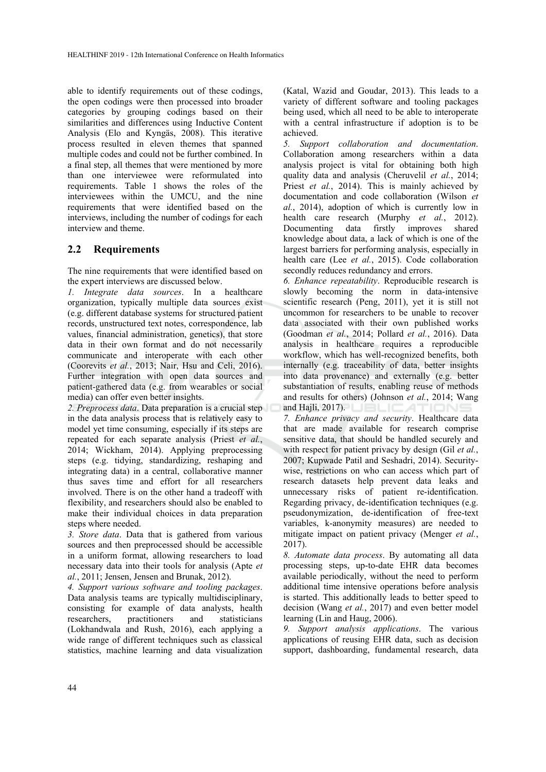able to identify requirements out of these codings, the open codings were then processed into broader categories by grouping codings based on their similarities and differences using Inductive Content Analysis (Elo and Kyngäs, 2008). This iterative process resulted in eleven themes that spanned multiple codes and could not be further combined. In a final step, all themes that were mentioned by more than one interviewee were reformulated into requirements. Table 1 shows the roles of the interviewees within the UMCU, and the nine requirements that were identified based on the interviews, including the number of codings for each interview and theme.

## **2.2 Requirements**

The nine requirements that were identified based on the expert interviews are discussed below.

*1. Integrate data sources*. In a healthcare organization, typically multiple data sources exist (e.g. different database systems for structured patient records, unstructured text notes, correspondence, lab values, financial administration, genetics), that store data in their own format and do not necessarily communicate and interoperate with each other (Coorevits *et al.*, 2013; Nair, Hsu and Celi, 2016). Further integration with open data sources and patient-gathered data (e.g. from wearables or social media) can offer even better insights.

*2. Preprocess data*. Data preparation is a crucial step in the data analysis process that is relatively easy to model yet time consuming, especially if its steps are repeated for each separate analysis (Priest *et al.*, 2014; Wickham, 2014). Applying preprocessing steps (e.g. tidying, standardizing, reshaping and integrating data) in a central, collaborative manner thus saves time and effort for all researchers involved. There is on the other hand a tradeoff with flexibility, and researchers should also be enabled to make their individual choices in data preparation steps where needed.

*3. Store data*. Data that is gathered from various sources and then preprocessed should be accessible in a uniform format, allowing researchers to load necessary data into their tools for analysis (Apte *et al.*, 2011; Jensen, Jensen and Brunak, 2012).

*4. Support various software and tooling packages*. Data analysis teams are typically multidisciplinary, consisting for example of data analysts, health researchers, practitioners and statisticians (Lokhandwala and Rush, 2016), each applying a wide range of different techniques such as classical statistics, machine learning and data visualization (Katal, Wazid and Goudar, 2013). This leads to a variety of different software and tooling packages being used, which all need to be able to interoperate with a central infrastructure if adoption is to be achieved.

*5. Support collaboration and documentation*. Collaboration among researchers within a data analysis project is vital for obtaining both high quality data and analysis (Cheruvelil *et al.*, 2014; Priest *et al.*, 2014). This is mainly achieved by documentation and code collaboration (Wilson *et al.*, 2014), adoption of which is currently low in health care research (Murphy *et al.*, 2012). Documenting data firstly improves shared knowledge about data, a lack of which is one of the largest barriers for performing analysis, especially in health care (Lee *et al.*, 2015). Code collaboration secondly reduces redundancy and errors.

*6. Enhance repeatability*. Reproducible research is slowly becoming the norm in data-intensive scientific research (Peng, 2011), yet it is still not uncommon for researchers to be unable to recover data associated with their own published works (Goodman *et al.*, 2014; Pollard *et al.*, 2016). Data analysis in healthcare requires a reproducible workflow, which has well-recognized benefits, both internally (e.g. traceability of data, better insights into data provenance) and externally (e.g. better substantiation of results, enabling reuse of methods and results for others) (Johnson *et al.*, 2014; Wang and Hajli, 2017).

*7. Enhance privacy and security*. Healthcare data that are made available for research comprise sensitive data, that should be handled securely and with respect for patient privacy by design (Gil *et al.*, 2007; Kupwade Patil and Seshadri, 2014). Securitywise, restrictions on who can access which part of research datasets help prevent data leaks and unnecessary risks of patient re-identification. Regarding privacy, de-identification techniques (e.g. pseudonymization, de-identification of free-text variables, k-anonymity measures) are needed to mitigate impact on patient privacy (Menger *et al.*, 2017).

*8. Automate data process*. By automating all data processing steps, up-to-date EHR data becomes available periodically, without the need to perform additional time intensive operations before analysis is started. This additionally leads to better speed to decision (Wang *et al.*, 2017) and even better model learning (Lin and Haug, 2006).

*9. Support analysis applications*. The various applications of reusing EHR data, such as decision support, dashboarding, fundamental research, data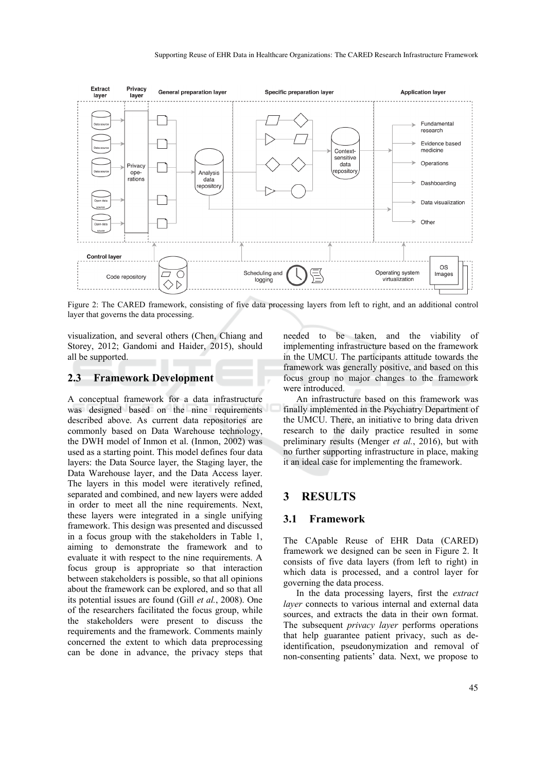

Figure 2: The CARED framework, consisting of five data processing layers from left to right, and an additional control layer that governs the data processing.

visualization, and several others (Chen, Chiang and Storey, 2012; Gandomi and Haider, 2015), should all be supported.

#### **2.3 Framework Development**

A conceptual framework for a data infrastructure was designed based on the nine requirements described above. As current data repositories are commonly based on Data Warehouse technology, the DWH model of Inmon et al. (Inmon, 2002) was used as a starting point. This model defines four data layers: the Data Source layer, the Staging layer, the Data Warehouse layer, and the Data Access layer. The layers in this model were iteratively refined, separated and combined, and new layers were added in order to meet all the nine requirements. Next, these layers were integrated in a single unifying framework. This design was presented and discussed in a focus group with the stakeholders in Table 1, aiming to demonstrate the framework and to evaluate it with respect to the nine requirements. A focus group is appropriate so that interaction between stakeholders is possible, so that all opinions about the framework can be explored, and so that all its potential issues are found (Gill *et al.*, 2008). One of the researchers facilitated the focus group, while the stakeholders were present to discuss the requirements and the framework. Comments mainly concerned the extent to which data preprocessing can be done in advance, the privacy steps that needed to be taken, and the viability of implementing infrastructure based on the framework in the UMCU. The participants attitude towards the framework was generally positive, and based on this focus group no major changes to the framework were introduced.

An infrastructure based on this framework was finally implemented in the Psychiatry Department of the UMCU. There, an initiative to bring data driven research to the daily practice resulted in some preliminary results (Menger *et al.*, 2016), but with no further supporting infrastructure in place, making it an ideal case for implementing the framework.

## **3 RESULTS**

#### **3.1 Framework**

The CApable Reuse of EHR Data (CARED) framework we designed can be seen in Figure 2. It consists of five data layers (from left to right) in which data is processed, and a control layer for governing the data process.

In the data processing layers, first the *extract layer* connects to various internal and external data sources, and extracts the data in their own format. The subsequent *privacy layer* performs operations that help guarantee patient privacy, such as deidentification, pseudonymization and removal of non-consenting patients' data. Next, we propose to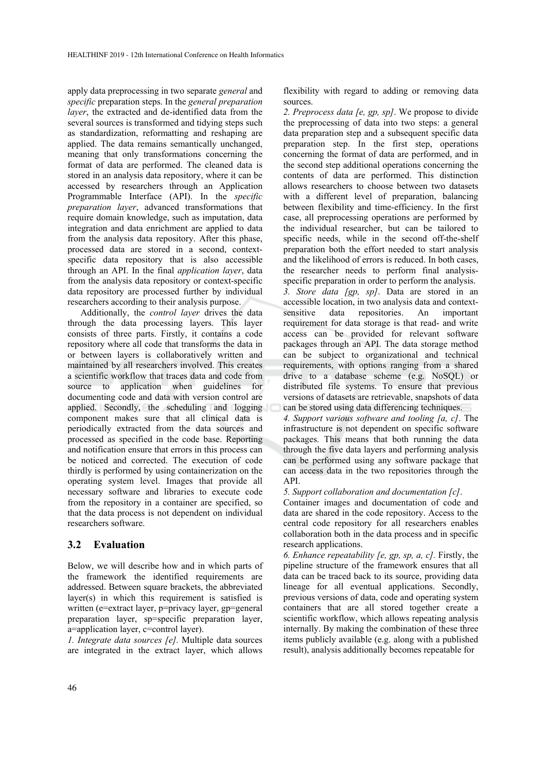apply data preprocessing in two separate *general* and *specific* preparation steps. In the *general preparation layer*, the extracted and de-identified data from the several sources is transformed and tidying steps such as standardization, reformatting and reshaping are applied. The data remains semantically unchanged, meaning that only transformations concerning the format of data are performed. The cleaned data is stored in an analysis data repository, where it can be accessed by researchers through an Application Programmable Interface (API). In the *specific preparation layer*, advanced transformations that require domain knowledge, such as imputation, data integration and data enrichment are applied to data from the analysis data repository. After this phase, processed data are stored in a second, contextspecific data repository that is also accessible through an API. In the final *application layer*, data from the analysis data repository or context-specific data repository are processed further by individual researchers according to their analysis purpose.

Additionally, the *control layer* drives the data through the data processing layers. This layer consists of three parts. Firstly, it contains a code repository where all code that transforms the data in or between layers is collaboratively written and maintained by all researchers involved. This creates a scientific workflow that traces data and code from source to application when guidelines for documenting code and data with version control are applied. Secondly, the scheduling and logging component makes sure that all clinical data is periodically extracted from the data sources and processed as specified in the code base. Reporting and notification ensure that errors in this process can be noticed and corrected. The execution of code thirdly is performed by using containerization on the operating system level. Images that provide all necessary software and libraries to execute code from the repository in a container are specified, so that the data process is not dependent on individual researchers software.

### **3.2 Evaluation**

Below, we will describe how and in which parts of the framework the identified requirements are addressed. Between square brackets, the abbreviated layer(s) in which this requirement is satisfied is written (e=extract layer, p=privacy layer, gp=general preparation layer, sp=specific preparation layer, a=application layer, c=control layer).

*1. Integrate data sources [e].* Multiple data sources are integrated in the extract layer, which allows

flexibility with regard to adding or removing data sources.

*2. Preprocess data [e, gp, sp]*. We propose to divide the preprocessing of data into two steps: a general data preparation step and a subsequent specific data preparation step. In the first step, operations concerning the format of data are performed, and in the second step additional operations concerning the contents of data are performed. This distinction allows researchers to choose between two datasets with a different level of preparation, balancing between flexibility and time-efficiency. In the first case, all preprocessing operations are performed by the individual researcher, but can be tailored to specific needs, while in the second off-the-shelf preparation both the effort needed to start analysis and the likelihood of errors is reduced. In both cases, the researcher needs to perform final analysisspecific preparation in order to perform the analysis.

*3. Store data [gp, sp]*. Data are stored in an accessible location, in two analysis data and contextsensitive data repositories. An important requirement for data storage is that read- and write access can be provided for relevant software packages through an API. The data storage method can be subject to organizational and technical requirements, with options ranging from a shared drive to a database scheme (e.g. NoSQL) or distributed file systems. To ensure that previous versions of datasets are retrievable, snapshots of data can be stored using data differencing techniques.

*4. Support various software and tooling [a, c]*. The infrastructure is not dependent on specific software packages. This means that both running the data through the five data layers and performing analysis can be performed using any software package that can access data in the two repositories through the API.

*5. Support collaboration and documentation [c]*.

Container images and documentation of code and data are shared in the code repository. Access to the central code repository for all researchers enables collaboration both in the data process and in specific research applications.

*6. Enhance repeatability [e, gp, sp, a, c].* Firstly, the pipeline structure of the framework ensures that all data can be traced back to its source, providing data lineage for all eventual applications. Secondly, previous versions of data, code and operating system containers that are all stored together create a scientific workflow, which allows repeating analysis internally. By making the combination of these three items publicly available (e.g. along with a published result), analysis additionally becomes repeatable for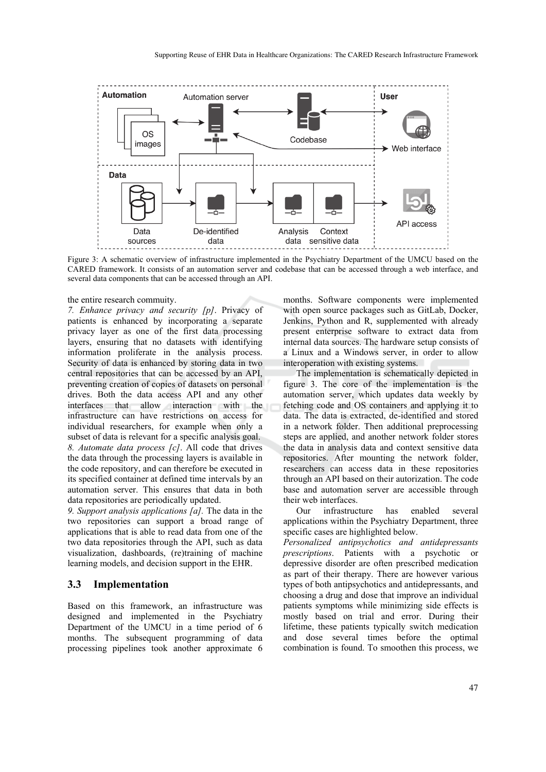

Figure 3: A schematic overview of infrastructure implemented in the Psychiatry Department of the UMCU based on the CARED framework. It consists of an automation server and codebase that can be accessed through a web interface, and several data components that can be accessed through an API.

#### the entire research commuity.

*7. Enhance privacy and security [p]*. Privacy of patients is enhanced by incorporating a separate privacy layer as one of the first data processing layers, ensuring that no datasets with identifying information proliferate in the analysis process. Security of data is enhanced by storing data in two central repositories that can be accessed by an API, preventing creation of copies of datasets on personal drives. Both the data access API and any other interfaces that allow interaction with the infrastructure can have restrictions on access for individual researchers, for example when only a subset of data is relevant for a specific analysis goal. *8. Automate data process [c]*. All code that drives the data through the processing layers is available in the code repository, and can therefore be executed in its specified container at defined time intervals by an automation server. This ensures that data in both data repositories are periodically updated.

*9. Support analysis applications [a].* The data in the two repositories can support a broad range of applications that is able to read data from one of the two data repositories through the API, such as data visualization, dashboards, (re)training of machine learning models, and decision support in the EHR.

#### **3.3 Implementation**

Based on this framework, an infrastructure was designed and implemented in the Psychiatry Department of the UMCU in a time period of 6 months. The subsequent programming of data processing pipelines took another approximate 6 months. Software components were implemented with open source packages such as GitLab, Docker, Jenkins, Python and R, supplemented with already present enterprise software to extract data from internal data sources. The hardware setup consists of a Linux and a Windows server, in order to allow interoperation with existing systems.

The implementation is schematically depicted in figure 3. The core of the implementation is the automation server, which updates data weekly by fetching code and OS containers and applying it to data. The data is extracted, de-identified and stored in a network folder. Then additional preprocessing steps are applied, and another network folder stores the data in analysis data and context sensitive data repositories. After mounting the network folder, researchers can access data in these repositories through an API based on their autorization. The code base and automation server are accessible through their web interfaces.

Our infrastructure has enabled several applications within the Psychiatry Department, three specific cases are highlighted below.

*Personalized antipsychotics and antidepressants prescriptions*. Patients with a psychotic or depressive disorder are often prescribed medication as part of their therapy. There are however various types of both antipsychotics and antidepressants, and choosing a drug and dose that improve an individual patients symptoms while minimizing side effects is mostly based on trial and error. During their lifetime, these patients typically switch medication and dose several times before the optimal combination is found. To smoothen this process, we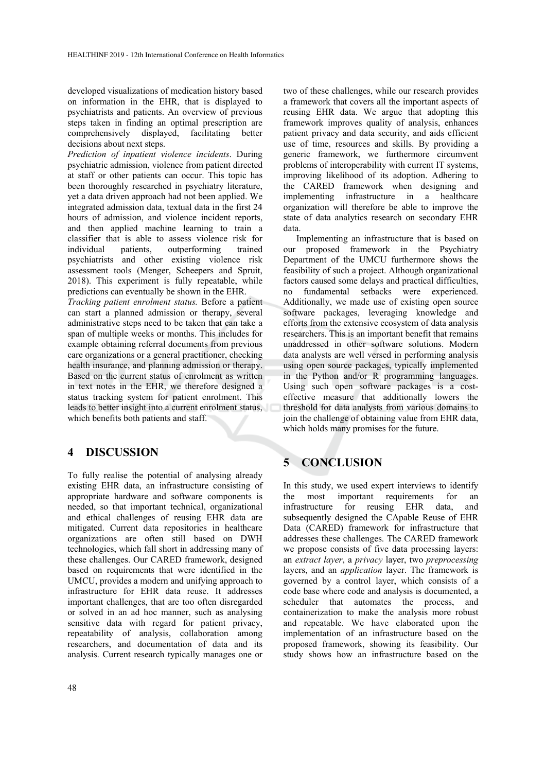developed visualizations of medication history based on information in the EHR, that is displayed to psychiatrists and patients. An overview of previous steps taken in finding an optimal prescription are comprehensively displayed, facilitating better decisions about next steps.

*Prediction of inpatient violence incidents*. During psychiatric admission, violence from patient directed at staff or other patients can occur. This topic has been thoroughly researched in psychiatry literature, yet a data driven approach had not been applied. We integrated admission data, textual data in the first 24 hours of admission, and violence incident reports, and then applied machine learning to train a classifier that is able to assess violence risk for individual patients, outperforming trained psychiatrists and other existing violence risk assessment tools (Menger, Scheepers and Spruit, 2018). This experiment is fully repeatable, while predictions can eventually be shown in the EHR.

*Tracking patient enrolment status.* Before a patient can start a planned admission or therapy, several administrative steps need to be taken that can take a span of multiple weeks or months. This includes for example obtaining referral documents from previous care organizations or a general practitioner, checking health insurance, and planning admission or therapy. Based on the current status of enrolment as written in text notes in the EHR, we therefore designed a status tracking system for patient enrolment. This leads to better insight into a current enrolment status, which benefits both patients and staff.

# **4 DISCUSSION**

To fully realise the potential of analysing already existing EHR data, an infrastructure consisting of appropriate hardware and software components is needed, so that important technical, organizational and ethical challenges of reusing EHR data are mitigated. Current data repositories in healthcare organizations are often still based on DWH technologies, which fall short in addressing many of these challenges. Our CARED framework, designed based on requirements that were identified in the UMCU, provides a modern and unifying approach to infrastructure for EHR data reuse. It addresses important challenges, that are too often disregarded or solved in an ad hoc manner, such as analysing sensitive data with regard for patient privacy, repeatability of analysis, collaboration among researchers, and documentation of data and its analysis. Current research typically manages one or

two of these challenges, while our research provides a framework that covers all the important aspects of reusing EHR data. We argue that adopting this framework improves quality of analysis, enhances patient privacy and data security, and aids efficient use of time, resources and skills. By providing a generic framework, we furthermore circumvent problems of interoperability with current IT systems, improving likelihood of its adoption. Adhering to the CARED framework when designing and implementing infrastructure in a healthcare organization will therefore be able to improve the state of data analytics research on secondary EHR data.

Implementing an infrastructure that is based on our proposed framework in the Psychiatry Department of the UMCU furthermore shows the feasibility of such a project. Although organizational factors caused some delays and practical difficulties, no fundamental setbacks were experienced. Additionally, we made use of existing open source software packages, leveraging knowledge and efforts from the extensive ecosystem of data analysis researchers. This is an important benefit that remains unaddressed in other software solutions. Modern data analysts are well versed in performing analysis using open source packages, typically implemented in the Python and/or R programming languages. Using such open software packages is a costeffective measure that additionally lowers the threshold for data analysts from various domains to join the challenge of obtaining value from EHR data, which holds many promises for the future.

# **5 CONCLUSION**

In this study, we used expert interviews to identify the most important requirements for an infrastructure for reusing EHR data, and subsequently designed the CApable Reuse of EHR Data (CARED) framework for infrastructure that addresses these challenges. The CARED framework we propose consists of five data processing layers: an *extract layer*, a *privacy* layer, two *preprocessing* layers, and an *application* layer. The framework is governed by a control layer, which consists of a code base where code and analysis is documented, a scheduler that automates the process, and containerization to make the analysis more robust and repeatable. We have elaborated upon the implementation of an infrastructure based on the proposed framework, showing its feasibility. Our study shows how an infrastructure based on the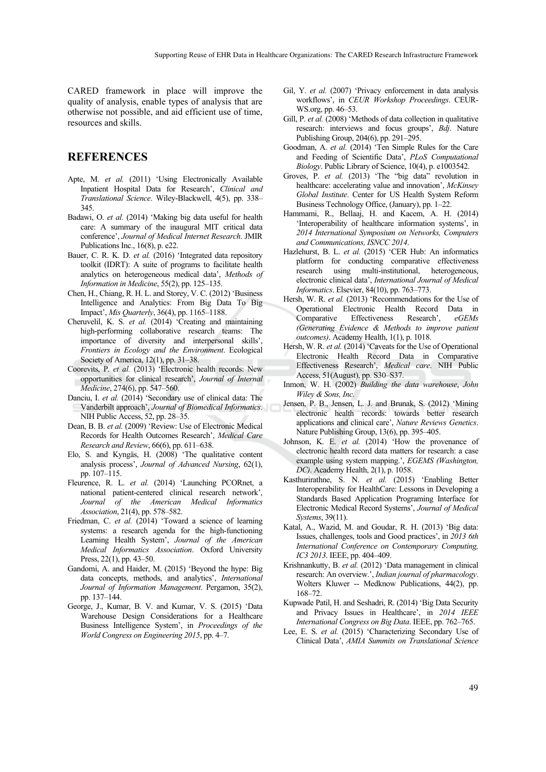CARED framework in place will improve the quality of analysis, enable types of analysis that are otherwise not possible, and aid efficient use of time, resources and skills.

### **REFERENCES**

- Apte, M. *et al.* (2011) 'Using Electronically Available Inpatient Hospital Data for Research', *Clinical and Translational Science*. Wiley-Blackwell, 4(5), pp. 338– 345.
- Badawi, O. *et al.* (2014) 'Making big data useful for health care: A summary of the inaugural MIT critical data conference', *Journal of Medical Internet Research*. JMIR Publications Inc., 16(8), p. e22.
- Bauer, C. R. K. D. *et al.* (2016) 'Integrated data repository toolkit (IDRT): A suite of programs to facilitate health analytics on heterogeneous medical data', *Methods of Information in Medicine*, 55(2), pp. 125–135.
- Chen, H., Chiang, R. H. L. and Storey, V. C. (2012) 'Business Intelligence and Analytics: From Big Data To Big Impact', *Mis Quarterly*, 36(4), pp. 1165–1188.
- Cheruvelil, K. S. *et al.* (2014) 'Creating and maintaining high-performing collaborative research teams: The importance of diversity and interpersonal skills', *Frontiers in Ecology and the Environment*. Ecological Society of America, 12(1), pp. 31–38.
- Coorevits, P. *et al.* (2013) 'Electronic health records: New opportunities for clinical research', *Journal of Internal Medicine*, 274(6), pp. 547–560.
- Danciu, I. *et al.* (2014) 'Secondary use of clinical data: The Vanderbilt approach', *Journal of Biomedical Informatics*. NIH Public Access, 52, pp. 28–35.
- Dean, B. B. *et al.* (2009) 'Review: Use of Electronic Medical Records for Health Outcomes Research', *Medical Care Research and Review*, 66(6), pp. 611–638.
- Elo, S. and Kyngäs, H. (2008) 'The qualitative content analysis process', *Journal of Advanced Nursing*, 62(1), pp. 107–115.
- Fleurence, R. L. *et al.* (2014) 'Launching PCORnet, a national patient-centered clinical research network', *Journal of the American Medical Informatics Association*, 21(4), pp. 578–582.
- Friedman, C. *et al.* (2014) 'Toward a science of learning systems: a research agenda for the high-functioning Learning Health System', *Journal of the American Medical Informatics Association*. Oxford University Press, 22(1), pp. 43–50.
- Gandomi, A. and Haider, M. (2015) 'Beyond the hype: Big data concepts, methods, and analytics', *International Journal of Information Management*. Pergamon, 35(2), pp. 137–144.
- George, J., Kumar, B. V. and Kumar, V. S. (2015) 'Data Warehouse Design Considerations for a Healthcare Business Intelligence System', in *Proceedings of the World Congress on Engineering 2015*, pp. 4–7.
- Gil, Y. *et al.* (2007) 'Privacy enforcement in data analysis workflows', in *CEUR Workshop Proceedings*. CEUR-WS.org, pp. 46–53.
- Gill, P. *et al.* (2008) 'Methods of data collection in qualitative research: interviews and focus groups', *Bdj*. Nature Publishing Group, 204(6), pp. 291–295.
- Goodman, A. *et al.* (2014) 'Ten Simple Rules for the Care and Feeding of Scientific Data', *PLoS Computational Biology*. Public Library of Science, 10(4), p. e1003542.
- Groves, P. *et al.* (2013) 'The "big data" revolution in healthcare: accelerating value and innovation', *McKinsey Global Institute*. Center for US Health System Reform Business Technology Office, (January), pp. 1–22.
- Hammami, R., Bellaaj, H. and Kacem, A. H. (2014) 'Interoperability of healthcare information systems', in *2014 International Symposium on Networks, Computers and Communications, ISNCC 2014*.
- Hazlehurst, B. L. et al. (2015) 'CER Hub: An informatics platform for conducting comparative effectiveness research using multi-institutional, heterogeneous, electronic clinical data', *International Journal of Medical Informatics*. Elsevier, 84(10), pp. 763–773.
- Hersh, W. R. *et al.* (2013) 'Recommendations for the Use of Operational Electronic Health Record Data in Comparative Effectiveness Research', *eGEMs (Generating Evidence & Methods to improve patient outcomes)*. Academy Health, 1(1), p. 1018.
- Hersh, W. R. *et al.* (2014) 'Caveats for the Use of Operational Electronic Health Record Data in Comparative Effectiveness Research', *Medical care*. NIH Public Access, 51(August), pp. S30–S37.
- Inmon, W. H. (2002) *Building the data warehouse*, *John Wiley & Sons, Inc.*
- Jensen, P. B., Jensen, L. J. and Brunak, S. (2012) 'Mining electronic health records: towards better research applications and clinical care', *Nature Reviews Genetics*. Nature Publishing Group, 13(6), pp. 395–405.
- Johnson, K. E. *et al.* (2014) 'How the provenance of electronic health record data matters for research: a case example using system mapping.', *EGEMS (Washington, DC)*. Academy Health, 2(1), p. 1058.
- Kasthurirathne, S. N. *et al.* (2015) 'Enabling Better Interoperability for HealthCare: Lessons in Developing a Standards Based Application Programing Interface for Electronic Medical Record Systems', *Journal of Medical Systems*, 39(11).
- Katal, A., Wazid, M. and Goudar, R. H. (2013) 'Big data: Issues, challenges, tools and Good practices', in *2013 6th International Conference on Contemporary Computing, IC3 2013*. IEEE, pp. 404–409.
- Krishnankutty, B. *et al.* (2012) 'Data management in clinical research: An overview.', *Indian journal of pharmacology*. Wolters Kluwer -- Medknow Publications, 44(2), pp. 168–72.
- Kupwade Patil, H. and Seshadri, R. (2014) 'Big Data Security and Privacy Issues in Healthcare', in *2014 IEEE International Congress on Big Data*. IEEE, pp. 762–765.
- Lee, E. S. *et al.* (2015) 'Characterizing Secondary Use of Clinical Data', *AMIA Summits on Translational Science*